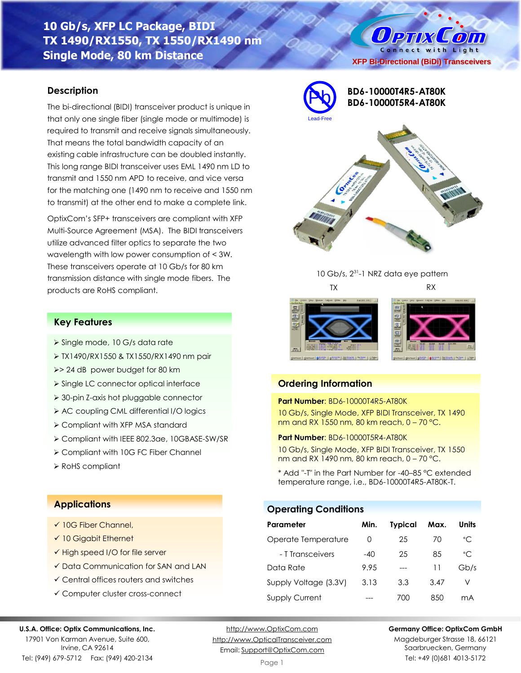# **10 Gb/s, XFP LC Package, BIDI TX 1490/RX1550, TX 1550/RX1490 nm Single Mode, 80 km Distance**

## **Description**

The bi-directional (BIDI) transceiver product is unique in that only one single fiber (single mode or multimode) is required to transmit and receive signals simultaneously. That means the total bandwidth capacity of an existing cable infrastructure can be doubled instantly. This long range BIDI transceiver uses EML 1490 nm LD to transmit and 1550 nm APD to receive, and vice versa for the matching one (1490 nm to receive and 1550 nm to transmit) at the other end to make a complete link.

OptixCom's SFP+ transceivers are compliant with XFP Multi-Source Agreement (MSA). The BIDI transceivers utilize advanced filter optics to separate the two wavelength with low power consumption of < 3W. These transceivers operate at 10 Gb/s for 80 km transmission distance with single mode fibers. The products are RoHS compliant.



**XFP Bi-Directional (BiDi) Transceivers**

O PTIX COM Connect with Light





# **Ordering Information**

#### **Part Number**: BD6-10000T4R5-AT80K

10 Gb/s, Single Mode, XFP BIDI Transceiver, TX 1490 nm and RX 1550 nm, 80 km reach, 0 – 70 °C.

#### **Part Number**: BD6-10000T5R4-AT80K

10 Gb/s, Single Mode, XFP BIDI Transceiver, TX 1550 nm and RX 1490 nm, 80 km reach, 0 – 70 °C.

\* Add "-T" in the Part Number for -40–85 °C extended temperature range, i.e., BD6-10000T4R5-AT80K-T.

### **Operating Conditions**

| Parameter             | Min.  | <b>Typical</b> | Max. | Units        |
|-----------------------|-------|----------------|------|--------------|
| Operate Temperature   | O     | 25             | 70   | $^{\circ}$ C |
| - T Transceivers      | $-40$ | 25             | 85   | $^{\circ}$ C |
| Data Rate             | 9.95  |                | 11   | Gb/s         |
| Supply Voltage (3.3V) | 3.13  | 3.3            | 3.47 | V            |
| <b>Supply Current</b> |       | 70O            | 850  | mА           |

# **Key Features**

- ➢ Single mode, 10 G/s data rate
- ➢ TX1490/RX1550 & TX1550/RX1490 nm pair
- ➢> 24 dB power budget for 80 km
- ➢ Single LC connector optical interface
- ➢ 30-pin Z-axis hot pluggable connector
- ➢ AC coupling CML differential I/O logics
- ➢ Compliant with XFP MSA standard
- ➢ Compliant with IEEE 802.3ae, 10GBASE-SW/SR
- ➢ Compliant with 10G FC Fiber Channel
- ➢ RoHS compliant

# **Applications**

- ✓ 10G Fiber Channel,
- ✓ 10 Gigabit Ethernet
- ✓ High speed I/O for file server
- ✓ Data Communication for SAN and LAN
- ✓ Central offices routers and switches
- ✓ Computer cluster cross-connect

#### **U.S.A. Office: Optix Communications, Inc.**

17901 Von Karman Avenue, Suite 600, Irvine, CA 92614 Tel: (949) 679-5712 Fax: (949) 420-2134

[http://www.OptixCom.com](http://www.optixcom.com/) [http://www.OpticalTransceiver.com](http://www.optoictech.com/) Email: [Support@OptixCom.com](mailto:Support@optoICtech.com)

### **Germany Office: OptixCom GmbH**

Magdeburger Strasse 18, 66121 Saarbruecken, Germany Tel: +49 (0)681 4013-5172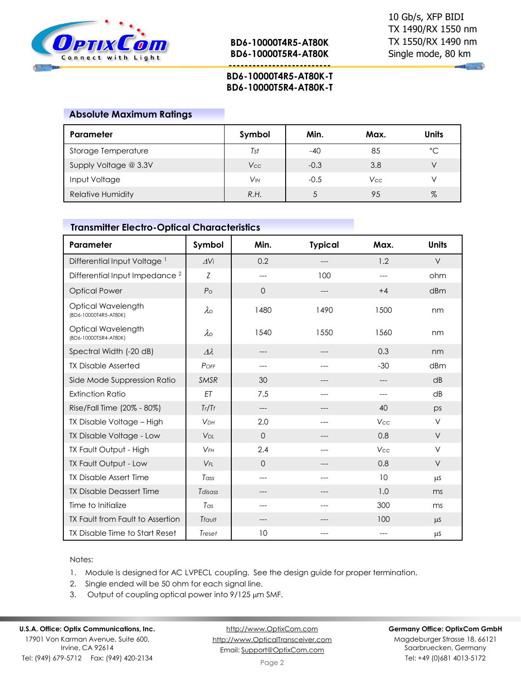

**--------------------------**

**Company** 

# **BD6-10000T4R5-AT80K-T BD6-10000T5R4-AT80K-T**

## **Absolute Maximum Ratings**

| Parameter                | Symbol     | Min.   | Max. | Units        |
|--------------------------|------------|--------|------|--------------|
| Storage Temperature      | Tst        | -40    | 85   | $^{\circ}$ C |
| Supply Voltage @ 3.3V    | <b>Vcc</b> | $-0.3$ | 3.8  |              |
| Input Voltage            | VM         | $-0.5$ | Vcc  |              |
| <b>Relative Humidity</b> | R.H.       |        | 95   | $\%$         |

# **Transmitter Electro-Optical Characteristics**

| Parameter                                   | Symbol                | Min.     | <b>Typical</b> | Max.  | <b>Units</b> |
|---------------------------------------------|-----------------------|----------|----------------|-------|--------------|
| Differential Input Voltage <sup>1</sup>     | $\Delta$ Vi           | 0.2      |                | 1.2   | $\vee$       |
| Differential Input Impedance <sup>2</sup>   | Ζ                     | ---      | 100            | $---$ | ohm          |
| <b>Optical Power</b>                        | P <sub>O</sub>        | $\Omega$ | ---            | $+4$  | dBm          |
| Optical Wavelength<br>(BD6-10000T4R5-AT80K) | $\lambda$             | 1480     | 1490           | 1500  | nm           |
| Optical Wavelength<br>(BD6-10000T5R4-AT80K) | $\lambda_{\rm O}$     | 1540     | 1550           | 1560  | nm           |
| Spectral Width (-20 dB)                     | $\Delta\lambda$       | ---      | ---            | 0.3   | nm           |
| <b>TX Disable Asserted</b>                  | POFF                  | ---      |                | $-30$ | dBm          |
| Side Mode Suppression Ratio                 | SMSR                  | 30       |                | ---   | dB           |
| <b>Extinction Ratio</b>                     | ET                    | 7.5      |                | $---$ | dB           |
| Rise/Fall Time (20% - 80%)                  | Tr/Tr                 | ---      |                | 40    | ps           |
| TX Disable Voltage - High                   | <b>VDH</b>            | 2.0      | ---            | Vcc   | $\vee$       |
| TX Disable Voltage - Low                    | <b>V<sub>DL</sub></b> | $\Omega$ |                | 0.8   | $\vee$       |
| TX Fault Output - High                      | $V$ FH                | 2.4      |                | Vcc   | $\vee$       |
| TX Fault Output - Low                       | $V_{FL}$              | $\Omega$ | ---            | 0.8   | $\vee$       |
| <b>TX Disable Assert Time</b>               | Tass                  | $---$    | ---            | 10    | $\mu$ S      |
| <b>TX Disable Deassert Time</b>             | Tdisass               | ---      | ---            | 1.0   | ms           |
| Time to Initialize                          | $T_{\text{GS}}$       | ---      |                | 300   | ms           |
| TX Fault from Fault to Assertion            | Tfault                | ---      |                | 100   | $\mu$ S      |
| TX Disable Time to Start Reset              | Treset                | 10       |                | $---$ | μS           |

### Notes:

- 1. Module is designed for AC LVPECL coupling. See the design guide for proper termination.
- 2. Single ended will be 50 ohm for each signal line.
- 3. Output of coupling optical power into  $9/125 \mu m$  SMF.

#### **U.S.A. Office: Optix Communications, Inc.** 17901 Von Karman Avenue, Suite 600,

Irvine, CA 92614 Tel: (949) 679-5712 Fax: (949) 420-2134

[http://www.OptixCom.com](http://www.optixcom.com/) [http://www.OpticalTransceiver.com](http://www.optoictech.com/) Email: [Support@OptixCom.com](mailto:Support@optoICtech.com)

#### **Germany Office: OptixCom GmbH**

Magdeburger Strasse 18, 66121 Saarbruecken, Germany Tel: +49 (0)681 4013-5172